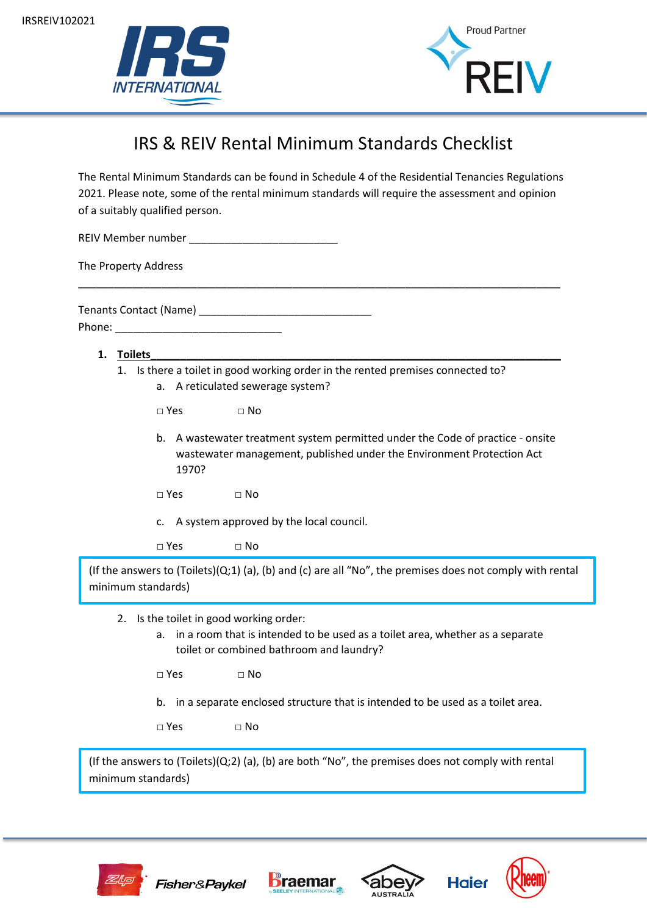



# IRS & REIV Rental Minimum Standards Checklist

The Rental Minimum Standards can be found in Schedule 4 of the Residential Tenancies Regulations 2021. Please note, some of the rental minimum standards will require the assessment and opinion of a suitably qualified person.

\_\_\_\_\_\_\_\_\_\_\_\_\_\_\_\_\_\_\_\_\_\_\_\_\_\_\_\_\_\_\_\_\_\_\_\_\_\_\_\_\_\_\_\_\_\_\_\_\_\_\_\_\_\_\_\_\_\_\_\_\_\_\_\_\_\_\_\_\_\_\_\_\_\_\_\_\_\_\_\_\_

REIV Member number **manufacture** and the number

The Property Address

Tenants Contact (Name) \_\_\_\_\_\_\_\_\_\_\_\_\_\_\_\_\_\_\_\_\_\_\_\_\_\_\_\_\_ Phone:

- **1. Toilets\_\_\_\_\_\_\_\_\_\_\_\_\_\_\_\_\_\_\_\_\_\_\_\_\_\_\_\_\_\_\_\_\_\_\_\_\_\_\_\_\_\_\_\_\_\_\_\_\_\_\_\_\_\_\_\_\_\_\_\_\_\_\_\_\_\_\_\_\_**
	- 1. Is there a toilet in good working order in the rented premises connected to?
		- a. A reticulated sewerage system?

□ Yes □ No

- b. A wastewater treatment system permitted under the Code of practice onsite wastewater management, published under the Environment Protection Act 1970?
- □ Yes □ No
- c. A system approved by the local council.

□ Yes □ No

(If the answers to (Toilets)(Q;1) (a), (b) and (c) are all "No", the premises does not comply with rental minimum standards)

- 2. Is the toilet in good working order:
	- a. in a room that is intended to be used as a toilet area, whether as a separate toilet or combined bathroom and laundry?

 $\Box$  Yes  $\Box$  No

b. in a separate enclosed structure that is intended to be used as a toilet area.

 $\Box$  Yes  $\Box$  No

(If the answers to (Toilets)(Q;2) (a), (b) are both "No", the premises does not comply with rental minimum standards)







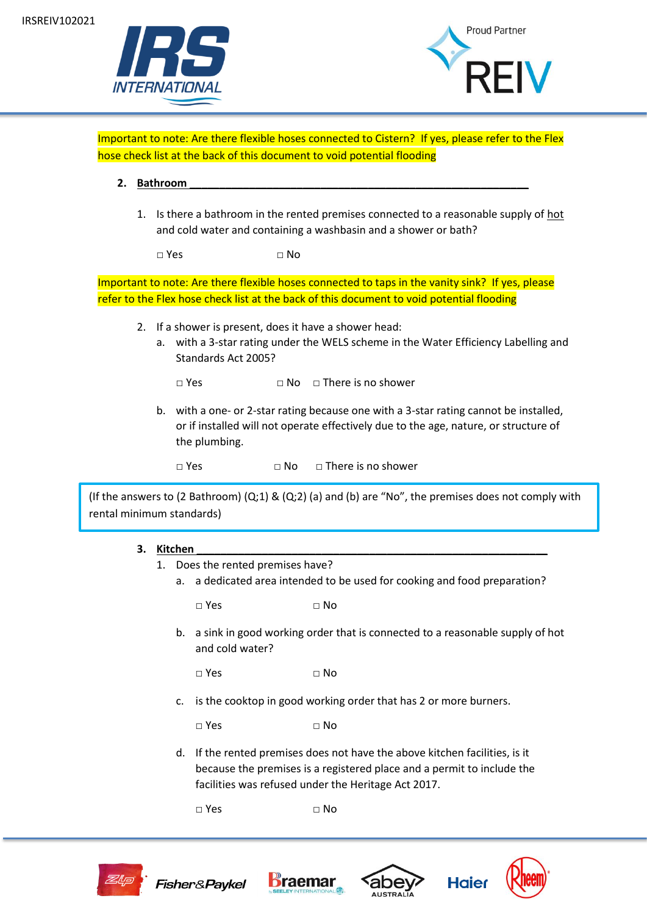



Important to note: Are there flexible hoses connected to Cistern? If yes, please refer to the Flex hose check list at the back of this document to void potential flooding

- **2. Bathroom \_\_\_\_\_\_\_\_\_\_\_\_\_\_\_\_\_\_\_\_\_\_\_\_\_\_\_\_\_\_\_\_\_\_\_\_\_\_\_\_\_\_\_\_\_\_\_\_\_\_\_\_\_\_\_\_\_**
	- 1. Is there a bathroom in the rented premises connected to a reasonable supply of hot and cold water and containing a washbasin and a shower or bath?

 $\Box$  Yes  $\Box$  No

Important to note: Are there flexible hoses connected to taps in the vanity sink? If yes, please refer to the Flex hose check list at the back of this document to void potential flooding

- 2. If a shower is present, does it have a shower head:
	- a. with a 3-star rating under the WELS scheme in the Water Efficiency Labelling and Standards Act 2005?

 $\Box$  Yes  $\Box$   $\Box$  No  $\Box$  There is no shower

b. with a one- or 2-star rating because one with a 3-star rating cannot be installed, or if installed will not operate effectively due to the age, nature, or structure of the plumbing.

□ Yes □ No □ There is no shower

(If the answers to (2 Bathroom)  $(Q;1)$  &  $(Q;2)$  (a) and (b) are "No", the premises does not comply with rental minimum standards)

#### **3. Kitchen \_\_\_\_\_\_\_\_\_\_\_\_\_\_\_\_\_\_\_\_\_\_\_\_\_\_\_\_\_\_\_\_\_\_\_\_\_\_\_\_\_\_\_\_\_\_\_\_\_\_\_\_\_\_\_\_\_\_\_**

- 1. Does the rented premises have?
	- a. a dedicated area intended to be used for cooking and food preparation?

□ Yes □ No

b. a sink in good working order that is connected to a reasonable supply of hot and cold water?

 $\Box$  Yes  $\Box$  No

c. is the cooktop in good working order that has 2 or more burners.

 $\Box$  Yes  $\Box$  No

d. If the rented premises does not have the above kitchen facilities, is it because the premises is a registered place and a permit to include the facilities was refused under the Heritage Act 2017.

 $\Box$  Yes  $\Box$  No







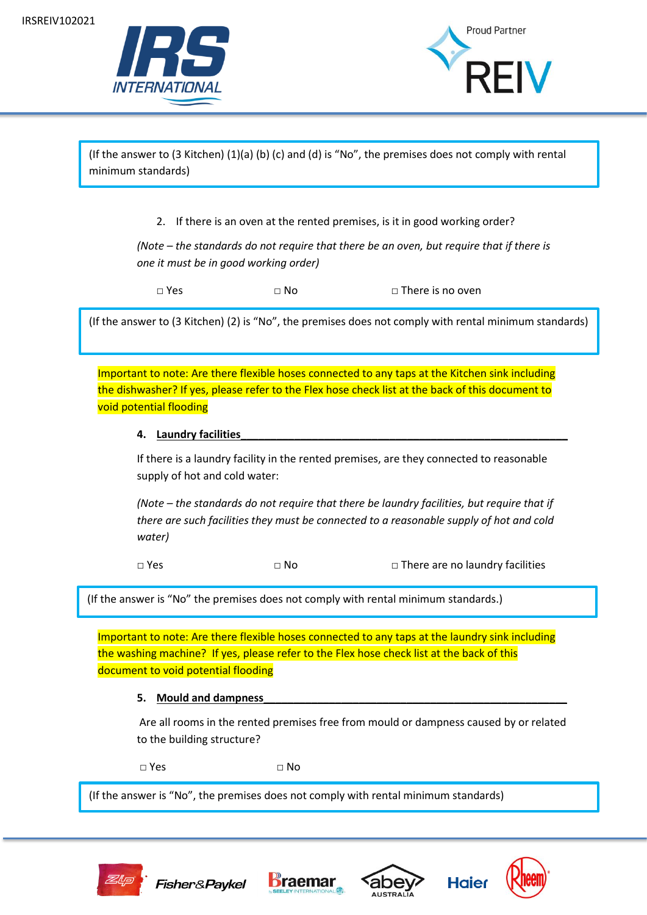



(If the answer to (3 Kitchen) (1)(a) (b) (c) and (d) is "No", the premises does not comply with rental minimum standards)

2. If there is an oven at the rented premises, is it in good working order?

*(Note – the standards do not require that there be an oven, but require that if there is one it must be in good working order)*

□ Yes □ No □ No □ There is no oven

(If the answer to (3 Kitchen) (2) is "No", the premises does not comply with rental minimum standards)

Important to note: Are there flexible hoses connected to any taps at the Kitchen sink including the dishwasher? If yes, please refer to the Flex hose check list at the back of this document to void potential flooding

#### **4. Laundry facilities\_\_\_\_\_\_\_\_\_\_\_\_\_\_\_\_\_\_\_\_\_\_\_\_\_\_\_\_\_\_\_\_\_\_\_\_\_\_\_\_\_\_\_\_\_\_\_\_\_\_\_\_\_\_\_**

If there is a laundry facility in the rented premises, are they connected to reasonable supply of hot and cold water:

*(Note – the standards do not require that there be laundry facilities, but require that if there are such facilities they must be connected to a reasonable supply of hot and cold water)*

□ Yes □ □ No □ There are no laundry facilities

(If the answer is "No" the premises does not comply with rental minimum standards.)

Important to note: Are there flexible hoses connected to any taps at the laundry sink including the washing machine? If yes, please refer to the Flex hose check list at the back of this document to void potential flooding

#### **5. Mould and dampness\_\_\_\_\_\_\_\_\_\_\_\_\_\_\_\_\_\_\_\_\_\_\_\_\_\_\_\_\_\_\_\_\_\_\_\_\_\_\_\_\_\_\_\_\_\_\_\_\_\_\_**

Are all rooms in the rented premises free from mould or dampness caused by or related to the building structure?

□ Yes □ No

(If the answer is "No", the premises does not comply with rental minimum standards)







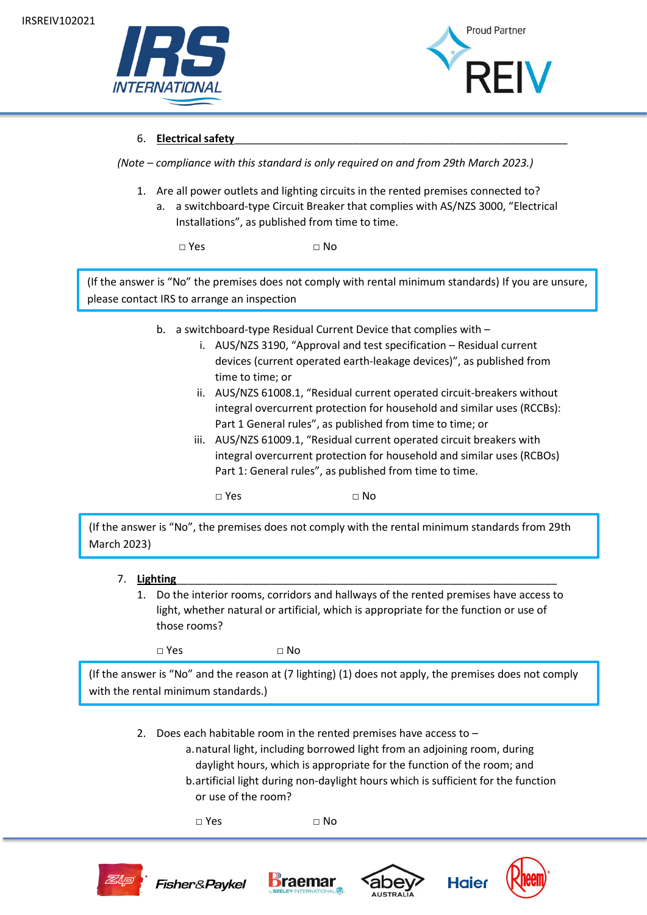



#### 6. **Electrical safety**\_\_\_\_\_\_\_\_\_\_\_\_\_\_\_\_\_\_\_\_\_\_\_\_\_\_\_\_\_\_\_\_\_\_\_\_\_\_\_\_\_\_\_\_\_\_\_\_\_\_\_\_\_\_\_\_

*(Note – compliance with this standard is only required on and from 29th March 2023.)* 

- 1. Are all power outlets and lighting circuits in the rented premises connected to?
	- a. a switchboard-type Circuit Breaker that complies with AS/NZS 3000, "Electrical Installations", as published from time to time.

□ Yes □ No

(If the answer is "No" the premises does not comply with rental minimum standards) If you are unsure, please contact IRS to arrange an inspection

- b. a switchboard-type Residual Current Device that complies with
	- i. AUS/NZS 3190, "Approval and test specification Residual current devices (current operated earth-leakage devices)", as published from time to time; or
	- ii. AUS/NZS 61008.1, "Residual current operated circuit-breakers without integral overcurrent protection for household and similar uses (RCCBs): Part 1 General rules", as published from time to time; or
	- iii. AUS/NZS 61009.1, "Residual current operated circuit breakers with integral overcurrent protection for household and similar uses (RCBOs) Part 1: General rules", as published from time to time.

 $\Box$  Yes  $\Box$  No

(If the answer is "No", the premises does not comply with the rental minimum standards from 29th March 2023)

- 7. **Lighting**\_\_\_\_\_\_\_\_\_\_\_\_\_\_\_\_\_\_\_\_\_\_\_\_\_\_\_\_\_\_\_\_\_\_\_\_\_\_\_\_\_\_\_\_\_\_\_\_\_\_\_\_\_\_\_\_\_\_\_\_\_\_\_\_
	- 1. Do the interior rooms, corridors and hallways of the rented premises have access to light, whether natural or artificial, which is appropriate for the function or use of those rooms?

 $\Box$  Yes  $\Box$  No

(If the answer is "No" and the reason at (7 lighting) (1) does not apply, the premises does not comply with the rental minimum standards.)

- 2. Does each habitable room in the rented premises have access to
	- a.natural light, including borrowed light from an adjoining room, during daylight hours, which is appropriate for the function of the room; and
	- b.artificial light during non-daylight hours which is sufficient for the function or use of the room?

 $\Box$  Yes  $\Box$  No

Fisher&Paykel







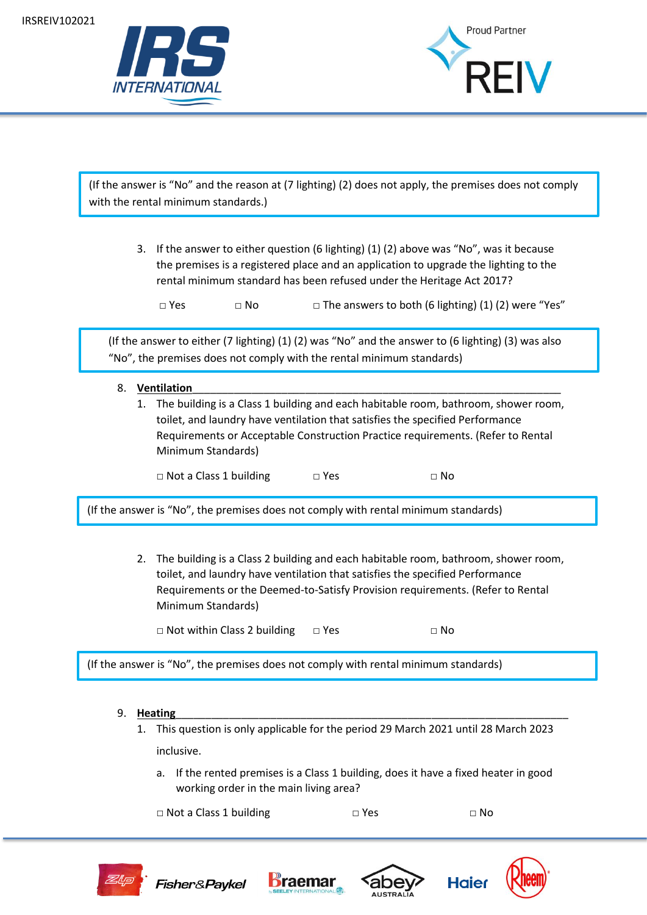



(If the answer is "No" and the reason at (7 lighting) (2) does not apply, the premises does not comply with the rental minimum standards.)

3. If the answer to either question (6 lighting) (1) (2) above was "No", was it because the premises is a registered place and an application to upgrade the lighting to the rental minimum standard has been refused under the Heritage Act 2017?

□ Yes □ No □ The answers to both (6 lighting) (1) (2) were "Yes"

(If the answer to either (7 lighting) (1) (2) was "No" and the answer to (6 lighting) (3) was also "No", the premises does not comply with the rental minimum standards)

- 8. Ventilation
	- 1. The building is a Class 1 building and each habitable room, bathroom, shower room, toilet, and laundry have ventilation that satisfies the specified Performance Requirements or Acceptable Construction Practice requirements. (Refer to Rental Minimum Standards)

□ Not a Class 1 building □ Yes □

(If the answer is "No", the premises does not comply with rental minimum standards)

2. The building is a Class 2 building and each habitable room, bathroom, shower room, toilet, and laundry have ventilation that satisfies the specified Performance Requirements or the Deemed-to-Satisfy Provision requirements. (Refer to Rental Minimum Standards)

□ Not within Class 2 building □ Yes □

(If the answer is "No", the premises does not comply with rental minimum standards)

- 9. **Heating** 
	- 1. This question is only applicable for the period 29 March 2021 until 28 March 2023 inclusive.
		- a. If the rented premises is a Class 1 building, does it have a fixed heater in good working order in the main living area?

□ Not a Class 1 building □ Yes □ No



Fisher&Paykel





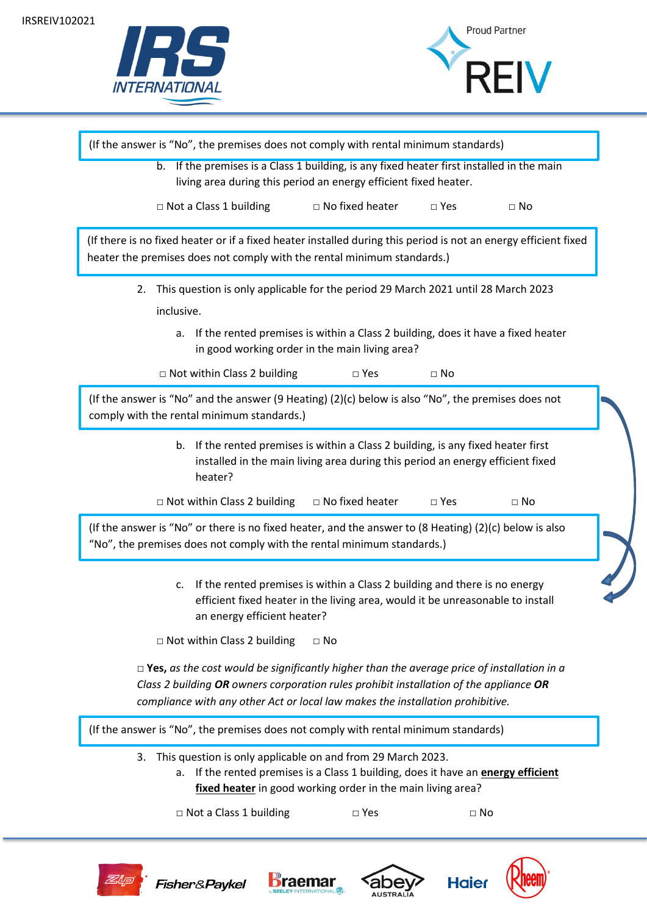



| (If the answer is "No", the premises does not comply with rental minimum standards)                                                                                                                                                                                           |
|-------------------------------------------------------------------------------------------------------------------------------------------------------------------------------------------------------------------------------------------------------------------------------|
| If the premises is a Class 1 building, is any fixed heater first installed in the main<br>b.                                                                                                                                                                                  |
| living area during this period an energy efficient fixed heater.                                                                                                                                                                                                              |
| $\Box$ No fixed heater<br>$\Box$ Not a Class 1 building<br>$\square$ Yes<br>$\Box$ No                                                                                                                                                                                         |
| (If there is no fixed heater or if a fixed heater installed during this period is not an energy efficient fixed<br>heater the premises does not comply with the rental minimum standards.)                                                                                    |
| 2. This question is only applicable for the period 29 March 2021 until 28 March 2023<br>inclusive.                                                                                                                                                                            |
| If the rented premises is within a Class 2 building, does it have a fixed heater<br>а.<br>in good working order in the main living area?                                                                                                                                      |
| $\Box$ Not within Class 2 building<br>$\Box$ Yes<br>$\Box$ No                                                                                                                                                                                                                 |
| (If the answer is "No" and the answer (9 Heating) (2)(c) below is also "No", the premises does not<br>comply with the rental minimum standards.)                                                                                                                              |
| If the rented premises is within a Class 2 building, is any fixed heater first<br>b.<br>installed in the main living area during this period an energy efficient fixed<br>heater?                                                                                             |
| □ Not within Class 2 building<br>$\Box$ No fixed heater<br>$\Box$ Yes<br>$\Box$ No                                                                                                                                                                                            |
| (If the answer is "No" or there is no fixed heater, and the answer to (8 Heating) (2)(c) below is also<br>"No", the premises does not comply with the rental minimum standards.)                                                                                              |
| If the rented premises is within a Class 2 building and there is no energy<br>c.<br>efficient fixed heater in the living area, would it be unreasonable to install<br>an energy efficient heater?                                                                             |
| $\Box$ Not within Class 2 building<br>$\Box$ No                                                                                                                                                                                                                               |
| $\Box$ Yes, as the cost would be significantly higher than the average price of installation in a<br>Class 2 building OR owners corporation rules prohibit installation of the appliance OR<br>compliance with any other Act or local law makes the installation prohibitive. |
| (If the answer is "No", the premises does not comply with rental minimum standards)                                                                                                                                                                                           |
| 3. This question is only applicable on and from 29 March 2023.                                                                                                                                                                                                                |
| If the rented premises is a Class 1 building, does it have an energy efficient<br>a.<br>fixed heater in good working order in the main living area?                                                                                                                           |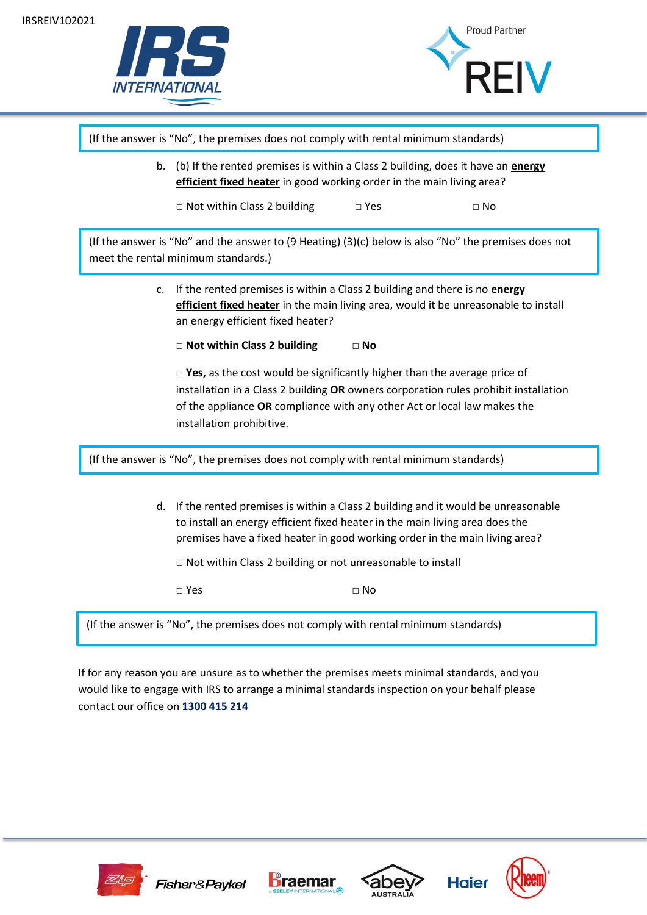



(If the answer is "No", the premises does not comply with rental minimum standards)

b. (b) If the rented premises is within a Class 2 building, does it have an **energy efficient fixed heater** in good working order in the main living area?

□ Not within Class 2 building □ Yes □

(If the answer is "No" and the answer to (9 Heating) (3)(c) below is also "No" the premises does not meet the rental minimum standards.)

- c. If the rented premises is within a Class 2 building and there is no **energy efficient fixed heater** in the main living area, would it be unreasonable to install an energy efficient fixed heater?
	- **□ Not within Class 2 building □ No**

**□ Yes,** as the cost would be significantly higher than the average price of installation in a Class 2 building **OR** owners corporation rules prohibit installation of the appliance **OR** compliance with any other Act or local law makes the installation prohibitive.

(If the answer is "No", the premises does not comply with rental minimum standards)

d. If the rented premises is within a Class 2 building and it would be unreasonable to install an energy efficient fixed heater in the main living area does the premises have a fixed heater in good working order in the main living area?

□ Not within Class 2 building or not unreasonable to install

□ Yes □ No

(If the answer is "No", the premises does not comply with rental minimum standards)

If for any reason you are unsure as to whether the premises meets minimal standards, and you would like to engage with IRS to arrange a minimal standards inspection on your behalf please contact our office on **1300 415 214**



Fisher&Paykel





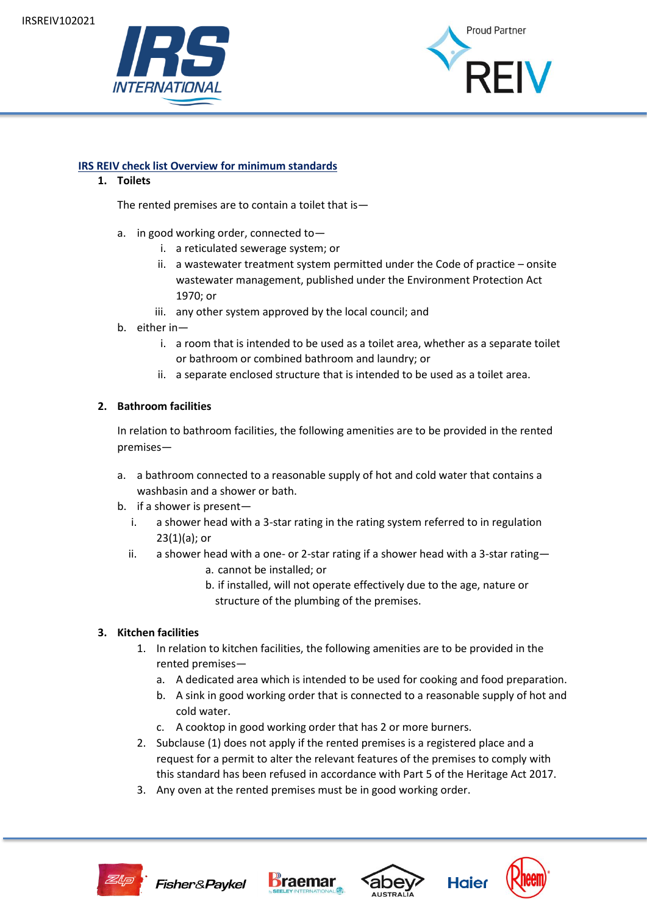



#### **IRS REIV check list Overview for minimum standards**

**1. Toilets** 

The rented premises are to contain a toilet that is—

- a. in good working order, connected to
	- i. a reticulated sewerage system; or
	- ii. a wastewater treatment system permitted under the Code of practice onsite wastewater management, published under the Environment Protection Act 1970; or
	- iii. any other system approved by the local council; and
- b. either in
	- i. a room that is intended to be used as a toilet area, whether as a separate toilet or bathroom or combined bathroom and laundry; or
	- ii. a separate enclosed structure that is intended to be used as a toilet area.

#### **2. Bathroom facilities**

In relation to bathroom facilities, the following amenities are to be provided in the rented premises—

- a. a bathroom connected to a reasonable supply of hot and cold water that contains a washbasin and a shower or bath.
- b. if a shower is present
	- i. a shower head with a 3-star rating in the rating system referred to in regulation  $23(1)(a)$ ; or
	- ii. a shower head with a one- or 2-star rating if a shower head with a 3-star rating a. cannot be installed; or
		- b. if installed, will not operate effectively due to the age, nature or structure of the plumbing of the premises.

#### **3. Kitchen facilities**

- 1. In relation to kitchen facilities, the following amenities are to be provided in the rented premises
	- a. A dedicated area which is intended to be used for cooking and food preparation.
	- b. A sink in good working order that is connected to a reasonable supply of hot and cold water.
	- c. A cooktop in good working order that has 2 or more burners.
- 2. Subclause (1) does not apply if the rented premises is a registered place and a request for a permit to alter the relevant features of the premises to comply with this standard has been refused in accordance with Part 5 of the Heritage Act 2017.
- 3. Any oven at the rented premises must be in good working order.









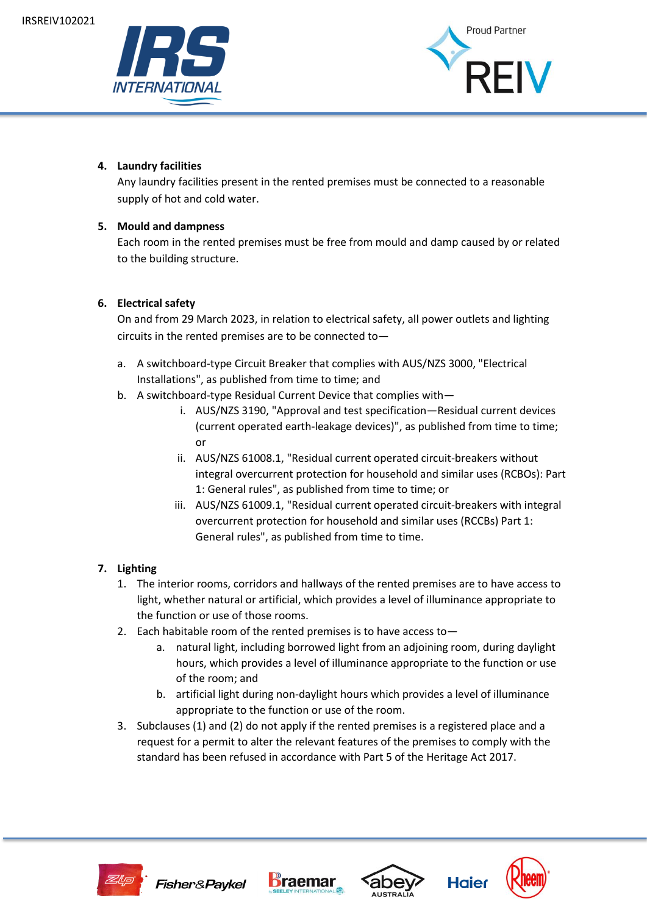



# **4. Laundry facilities**

Any laundry facilities present in the rented premises must be connected to a reasonable supply of hot and cold water.

# **5. Mould and dampness**

Each room in the rented premises must be free from mould and damp caused by or related to the building structure.

# **6. Electrical safety**

On and from 29 March 2023, in relation to electrical safety, all power outlets and lighting circuits in the rented premises are to be connected to—

- a. A switchboard-type Circuit Breaker that complies with AUS/NZS 3000, "Electrical Installations", as published from time to time; and
- b. A switchboard-type Residual Current Device that complies with
	- i. AUS/NZS 3190, "Approval and test specification—Residual current devices (current operated earth-leakage devices)", as published from time to time; or
	- ii. AUS/NZS 61008.1, "Residual current operated circuit-breakers without integral overcurrent protection for household and similar uses (RCBOs): Part 1: General rules", as published from time to time; or
	- iii. AUS/NZS 61009.1, "Residual current operated circuit-breakers with integral overcurrent protection for household and similar uses (RCCBs) Part 1: General rules", as published from time to time.

# **7. Lighting**

- 1. The interior rooms, corridors and hallways of the rented premises are to have access to light, whether natural or artificial, which provides a level of illuminance appropriate to the function or use of those rooms.
- 2. Each habitable room of the rented premises is to have access to
	- a. natural light, including borrowed light from an adjoining room, during daylight hours, which provides a level of illuminance appropriate to the function or use of the room; and
	- b. artificial light during non-daylight hours which provides a level of illuminance appropriate to the function or use of the room.
- 3. Subclauses (1) and (2) do not apply if the rented premises is a registered place and a request for a permit to alter the relevant features of the premises to comply with the standard has been refused in accordance with Part 5 of the Heritage Act 2017.









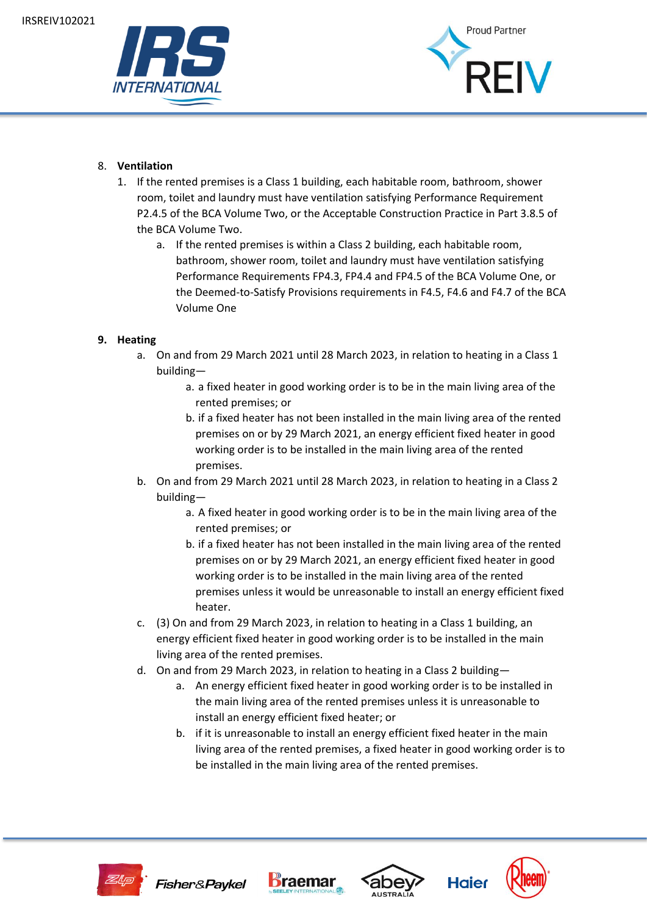



### 8. **Ventilation**

- 1. If the rented premises is a Class 1 building, each habitable room, bathroom, shower room, toilet and laundry must have ventilation satisfying Performance Requirement P2.4.5 of the BCA Volume Two, or the Acceptable Construction Practice in Part 3.8.5 of the BCA Volume Two.
	- a. If the rented premises is within a Class 2 building, each habitable room, bathroom, shower room, toilet and laundry must have ventilation satisfying Performance Requirements FP4.3, FP4.4 and FP4.5 of the BCA Volume One, or the Deemed-to-Satisfy Provisions requirements in F4.5, F4.6 and F4.7 of the BCA Volume One

# **9. Heating**

- a. On and from 29 March 2021 until 28 March 2023, in relation to heating in a Class 1 building
	- a. a fixed heater in good working order is to be in the main living area of the rented premises; or
	- b. if a fixed heater has not been installed in the main living area of the rented premises on or by 29 March 2021, an energy efficient fixed heater in good working order is to be installed in the main living area of the rented premises.
- b. On and from 29 March 2021 until 28 March 2023, in relation to heating in a Class 2 building
	- a. A fixed heater in good working order is to be in the main living area of the rented premises; or
	- b. if a fixed heater has not been installed in the main living area of the rented premises on or by 29 March 2021, an energy efficient fixed heater in good working order is to be installed in the main living area of the rented premises unless it would be unreasonable to install an energy efficient fixed heater.
- c. (3) On and from 29 March 2023, in relation to heating in a Class 1 building, an energy efficient fixed heater in good working order is to be installed in the main living area of the rented premises.
- d. On and from 29 March 2023, in relation to heating in a Class 2 building
	- a. An energy efficient fixed heater in good working order is to be installed in the main living area of the rented premises unless it is unreasonable to install an energy efficient fixed heater; or
	- b. if it is unreasonable to install an energy efficient fixed heater in the main living area of the rented premises, a fixed heater in good working order is to be installed in the main living area of the rented premises.